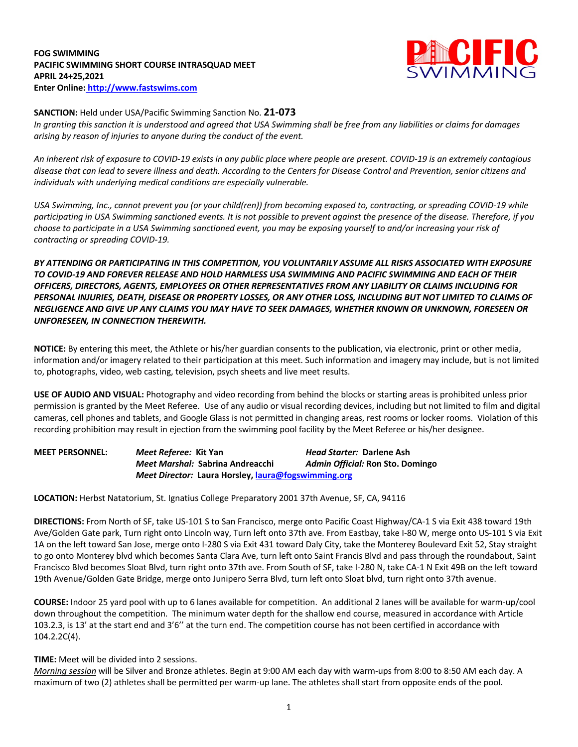## **FOG SWIMMING PACIFIC SWIMMING SHORT COURSE INTRASQUAD MEET APRIL 24+25,2021 Enter Online: http://www.fastswims.com**



## **SANCTION:** Held under USA/Pacific Swimming Sanction No. **21-073**

In granting this sanction it is understood and agreed that USA Swimming shall be free from any liabilities or claims for damages *arising by reason of injuries to anyone during the conduct of the event.* 

An inherent risk of exposure to COVID-19 exists in any public place where people are present. COVID-19 is an extremely contagious disease that can lead to severe illness and death. According to the Centers for Disease Control and Prevention, senior citizens and *individuals with underlying medical conditions are especially vulnerable.*

USA Swimming, Inc., cannot prevent you (or your child(ren)) from becoming exposed to, contracting, or spreading COVID-19 while participating in USA Swimming sanctioned events. It is not possible to prevent against the presence of the disease. Therefore, if you choose to participate in a USA Swimming sanctioned event, you may be exposing yourself to and/or increasing your risk of *contracting or spreading COVID-19.*

*BY ATTENDING OR PARTICIPATING IN THIS COMPETITION, YOU VOLUNTARILY ASSUME ALL RISKS ASSOCIATED WITH EXPOSURE TO COVID-19 AND FOREVER RELEASE AND HOLD HARMLESS USA SWIMMING AND PACIFIC SWIMMING AND EACH OF THEIR OFFICERS, DIRECTORS, AGENTS, EMPLOYEES OR OTHER REPRESENTATIVES FROM ANY LIABILITY OR CLAIMS INCLUDING FOR* PERSONAL INJURIES, DEATH, DISEASE OR PROPERTY LOSSES, OR ANY OTHER LOSS, INCLUDING BUT NOT LIMITED TO CLAIMS OF NEGLIGENCE AND GIVE UP ANY CLAIMS YOU MAY HAVE TO SEEK DAMAGES, WHETHER KNOWN OR UNKNOWN, FORESEEN OR *UNFORESEEN, IN CONNECTION THEREWITH.*

**NOTICE:** By entering this meet, the Athlete or his/her guardian consents to the publication, via electronic, print or other media, information and/or imagery related to their participation at this meet. Such information and imagery may include, but is not limited to, photographs, video, web casting, television, psych sheets and live meet results.

**USE OF AUDIO AND VISUAL:** Photography and video recording from behind the blocks or starting areas is prohibited unless prior permission is granted by the Meet Referee. Use of any audio or visual recording devices, including but not limited to film and digital cameras, cell phones and tablets, and Google Glass is not permitted in changing areas, rest rooms or locker rooms. Violation of this recording prohibition may result in ejection from the swimming pool facility by the Meet Referee or his/her designee.

| <b>MEET PERSONNEL:</b> | Meet Referee: Kit Yan |                                                     | <i>Head Starter: Darlene Ash</i> |  |  |  |  |
|------------------------|-----------------------|-----------------------------------------------------|----------------------------------|--|--|--|--|
|                        |                       | Meet Marshal: Sabrina Andreacchi                    | Admin Official: Ron Sto. Domingo |  |  |  |  |
|                        |                       | Meet Director: Laura Horsley, laura@fogswimming.org |                                  |  |  |  |  |

**LOCATION:** Herbst Natatorium, St. Ignatius College Preparatory 2001 37th Avenue, SF, CA, 94116

**DIRECTIONS:** From North of SF, take US-101 S to San Francisco, merge onto Pacific Coast Highway/CA-1 S via Exit 438 toward 19th Ave/Golden Gate park, Turn right onto Lincoln way, Turn left onto 37th ave. From Eastbay, take I-80 W, merge onto US-101 S via Exit 1A on the left toward San Jose, merge onto I-280 S via Exit 431 toward Daly City, take the Monterey Boulevard Exit 52, Stay straight to go onto Monterey blvd which becomes Santa Clara Ave, turn left onto Saint Francis Blvd and pass through the roundabout, Saint Francisco Blvd becomes Sloat Blvd, turn right onto 37th ave. From South of SF, take I-280 N, take CA-1 N Exit 49B on the left toward 19th Avenue/Golden Gate Bridge, merge onto Junipero Serra Blvd, turn left onto Sloat blvd, turn right onto 37th avenue.

**COURSE:** Indoor 25 yard pool with up to 6 lanes available for competition.An additional 2 lanes will be available for warm-up/cool down throughout the competition. The minimum water depth for the shallow end course, measured in accordance with Article 103.2.3, is 13' at the start end and 3'6'' at the turn end. The competition course has not been certified in accordance with 104.2.2C(4).

## **TIME:** Meet will be divided into 2 sessions.

*Morning session* will be Silver and Bronze athletes. Begin at 9:00 AM each day with warm-ups from 8:00 to 8:50 AM each day. A maximum of two (2) athletes shall be permitted per warm-up lane. The athletes shall start from opposite ends of the pool.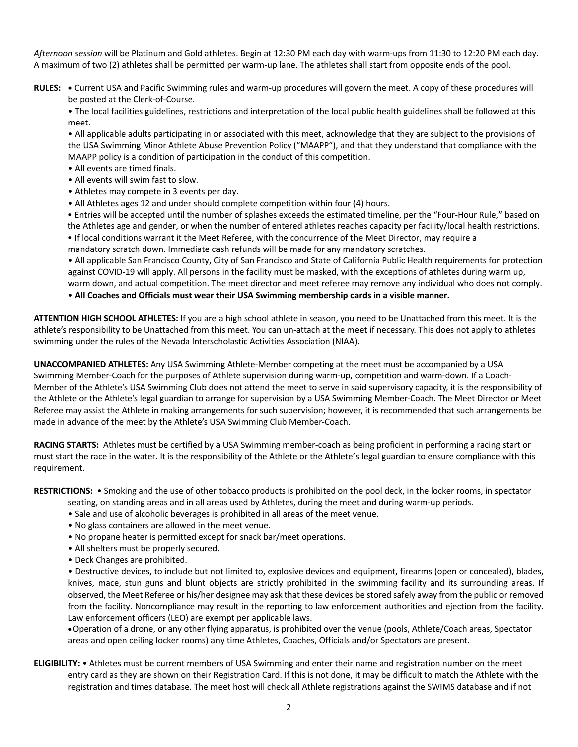*Afternoon session* will be Platinum and Gold athletes. Begin at 12:30 PM each day with warm-ups from 11:30 to 12:20 PM each day. A maximum of two (2) athletes shall be permitted per warm-up lane. The athletes shall start from opposite ends of the pool.

**RULES: •** Current USA and Pacific Swimming rules and warm-up procedures will govern the meet. A copy of these procedures will be posted at the Clerk-of-Course.

• The local facilities guidelines, restrictions and interpretation of the local public health guidelines shall be followed at this meet.

• All applicable adults participating in or associated with this meet, acknowledge that they are subject to the provisions of the USA Swimming Minor Athlete Abuse Prevention Policy ("MAAPP"), and that they understand that compliance with the MAAPP policy is a condition of participation in the conduct of this competition.

- All events are timed finals.
- All events will swim fast to slow.
- Athletes may compete in 3 events per day.
- All Athletes ages 12 and under should complete competition within four (4) hours.

 • Entries will be accepted until the number of splashes exceeds the estimated timeline, per the "Four-Hour Rule," based on the Athletes age and gender, or when the number of entered athletes reaches capacity per facility/local health restrictions. • If local conditions warrant it the Meet Referee, with the concurrence of the Meet Director, may require a

mandatory scratch down. Immediate cash refunds will be made for any mandatory scratches.

• All applicable San Francisco County, City of San Francisco and State of California Public Health requirements for protection against COVID-19 will apply. All persons in the facility must be masked, with the exceptions of athletes during warm up, warm down, and actual competition. The meet director and meet referee may remove any individual who does not comply.

• **All Coaches and Officials must wear their USA Swimming membership cards in a visible manner.**

**ATTENTION HIGH SCHOOL ATHLETES:** If you are a high school athlete in season, you need to be Unattached from this meet. It is the athlete's responsibility to be Unattached from this meet. You can un-attach at the meet if necessary. This does not apply to athletes swimming under the rules of the Nevada Interscholastic Activities Association (NIAA).

**UNACCOMPANIED ATHLETES:** Any USA Swimming Athlete-Member competing at the meet must be accompanied by a USA Swimming Member-Coach for the purposes of Athlete supervision during warm-up, competition and warm-down. If a Coach-Member of the Athlete's USA Swimming Club does not attend the meet to serve in said supervisory capacity, it is the responsibility of the Athlete or the Athlete's legal guardian to arrange for supervision by a USA Swimming Member-Coach. The Meet Director or Meet Referee may assist the Athlete in making arrangements for such supervision; however, it is recommended that such arrangements be made in advance of the meet by the Athlete's USA Swimming Club Member-Coach.

**RACING STARTS:** Athletes must be certified by a USA Swimming member-coach as being proficient in performing a racing start or must start the race in the water. It is the responsibility of the Athlete or the Athlete's legal guardian to ensure compliance with this requirement.

**RESTRICTIONS:** • Smoking and the use of other tobacco products is prohibited on the pool deck, in the locker rooms, in spectator

seating, on standing areas and in all areas used by Athletes, during the meet and during warm-up periods.

- Sale and use of alcoholic beverages is prohibited in all areas of the meet venue.
- No glass containers are allowed in the meet venue.
- No propane heater is permitted except for snack bar/meet operations.
- All shelters must be properly secured.
- Deck Changes are prohibited.

• Destructive devices, to include but not limited to, explosive devices and equipment, firearms (open or concealed), blades, knives, mace, stun guns and blunt objects are strictly prohibited in the swimming facility and its surrounding areas. If observed, the Meet Referee or his/her designee may ask that these devices be stored safely away from the public or removed from the facility. Noncompliance may result in the reporting to law enforcement authorities and ejection from the facility. Law enforcement officers (LEO) are exempt per applicable laws.

•Operation of a drone, or any other flying apparatus, is prohibited over the venue (pools, Athlete/Coach areas, Spectator areas and open ceiling locker rooms) any time Athletes, Coaches, Officials and/or Spectators are present.

**ELIGIBILITY:** • Athletes must be current members of USA Swimming and enter their name and registration number on the meet entry card as they are shown on their Registration Card. If this is not done, it may be difficult to match the Athlete with the registration and times database. The meet host will check all Athlete registrations against the SWIMS database and if not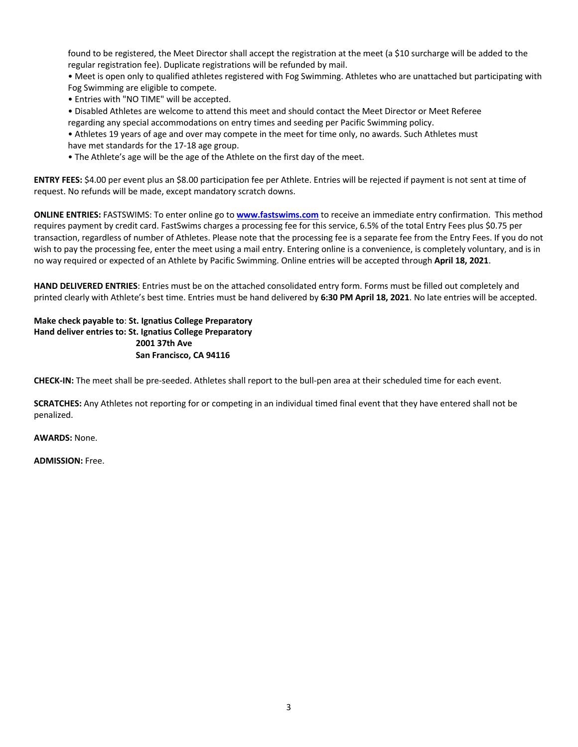found to be registered, the Meet Director shall accept the registration at the meet (a \$10 surcharge will be added to the regular registration fee). Duplicate registrations will be refunded by mail.

• Meet is open only to qualified athletes registered with Fog Swimming. Athletes who are unattached but participating with Fog Swimming are eligible to compete.

• Entries with "NO TIME" will be accepted.

• Disabled Athletes are welcome to attend this meet and should contact the Meet Director or Meet Referee

regarding any special accommodations on entry times and seeding per Pacific Swimming policy.

• Athletes 19 years of age and over may compete in the meet for time only, no awards. Such Athletes must have met standards for the 17-18 age group.

• The Athlete's age will be the age of the Athlete on the first day of the meet.

**ENTRY FEES:** \$4.00 per event plus an \$8.00 participation fee per Athlete. Entries will be rejected if payment is not sent at time of request. No refunds will be made, except mandatory scratch downs.

**ONLINE ENTRIES:** FASTSWIMS: To enter online go to **www.fastswims.com** to receive an immediate entry confirmation. This method requires payment by credit card. FastSwims charges a processing fee for this service, 6.5% of the total Entry Fees plus \$0.75 per transaction, regardless of number of Athletes. Please note that the processing fee is a separate fee from the Entry Fees. If you do not wish to pay the processing fee, enter the meet using a mail entry. Entering online is a convenience, is completely voluntary, and is in no way required or expected of an Athlete by Pacific Swimming. Online entries will be accepted through **April 18, 2021**.

**HAND DELIVERED ENTRIES**: Entries must be on the attached consolidated entry form. Forms must be filled out completely and printed clearly with Athlete's best time. Entries must be hand delivered by **6:30 PM April 18, 2021**. No late entries will be accepted.

**Make check payable to**: **St. Ignatius College Preparatory Hand deliver entries to: St. Ignatius College Preparatory 2001 37th Ave San Francisco, CA 94116** 

**CHECK-IN:** The meet shall be pre-seeded. Athletes shall report to the bull-pen area at their scheduled time for each event.

**SCRATCHES:** Any Athletes not reporting for or competing in an individual timed final event that they have entered shall not be penalized.

**AWARDS:** None.

**ADMISSION:** Free.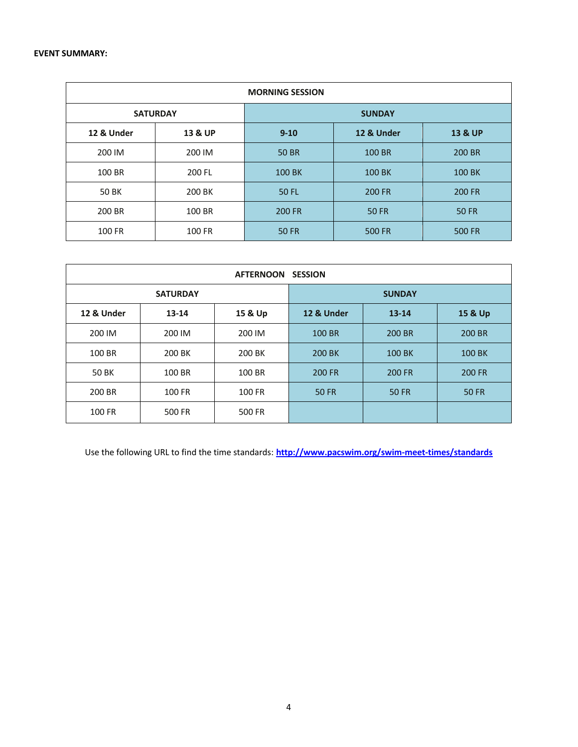| <b>MORNING SESSION</b> |         |               |               |                    |  |  |  |  |
|------------------------|---------|---------------|---------------|--------------------|--|--|--|--|
| <b>SATURDAY</b>        |         | <b>SUNDAY</b> |               |                    |  |  |  |  |
| 12 & Under             | 13 & UP | $9 - 10$      | 12 & Under    | <b>13 &amp; UP</b> |  |  |  |  |
| 200 IM                 | 200 IM  | <b>50 BR</b>  | 100 BR        | 200 BR             |  |  |  |  |
| 100 BR                 | 200 FL  | 100 BK        | <b>100 BK</b> | 100 BK             |  |  |  |  |
| 50 BK                  | 200 BK  | <b>50 FL</b>  | 200 FR        | 200 FR             |  |  |  |  |
| 200 BR                 | 100 BR  | <b>200 FR</b> | <b>50 FR</b>  | <b>50 FR</b>       |  |  |  |  |
| 100 FR                 | 100 FR  | <b>50 FR</b>  | <b>500 FR</b> | <b>500 FR</b>      |  |  |  |  |

| AFTERNOON SESSION |                 |         |               |                      |               |  |  |  |  |
|-------------------|-----------------|---------|---------------|----------------------|---------------|--|--|--|--|
|                   | <b>SATURDAY</b> |         | <b>SUNDAY</b> |                      |               |  |  |  |  |
| 12 & Under        | $13 - 14$       | 15 & Up | 12 & Under    | 15 & Up<br>$13 - 14$ |               |  |  |  |  |
| 200 IM            | 200 IM          | 200 IM  | 100 BR        | 200 BR               | 200 BR        |  |  |  |  |
| 100 BR            | 200 BK          | 200 BK  | 200 BK        | 100 BK               | 100 BK        |  |  |  |  |
| 50 BK             | 100 BR          | 100 BR  | <b>200 FR</b> | <b>200 FR</b>        | <b>200 FR</b> |  |  |  |  |
| 200 BR            | 100 FR          | 100 FR  | <b>50 FR</b>  | <b>50 FR</b>         | <b>50 FR</b>  |  |  |  |  |
| 100 FR            | 500 FR          | 500 FR  |               |                      |               |  |  |  |  |

Use the following URL to find the time standards: **http://www.pacswim.org/swim-meet-times/standards**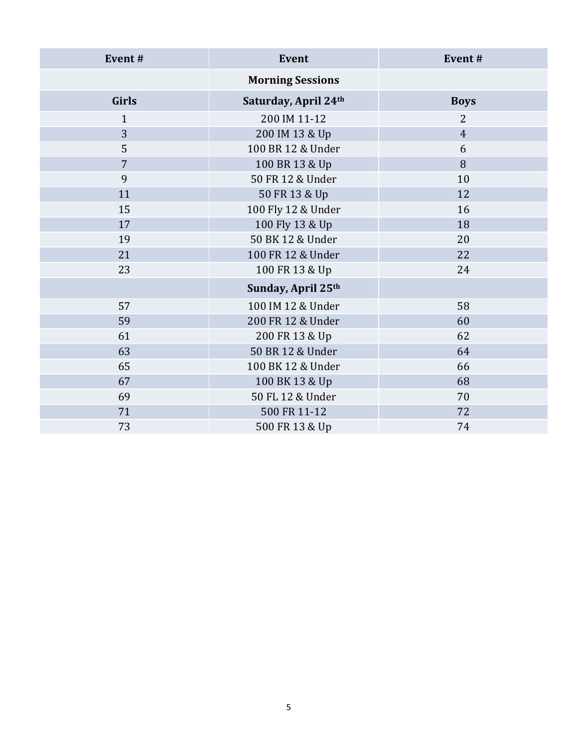| Event#         | <b>Event</b>            | Event#         |  |  |
|----------------|-------------------------|----------------|--|--|
|                | <b>Morning Sessions</b> |                |  |  |
| <b>Girls</b>   | Saturday, April 24th    | <b>Boys</b>    |  |  |
| $\mathbf{1}$   | 200 IM 11-12            | $\overline{2}$ |  |  |
| 3              | 200 IM 13 & Up          | $\overline{4}$ |  |  |
| 5              | 100 BR 12 & Under       | 6              |  |  |
| $\overline{7}$ | 100 BR 13 & Up          | 8              |  |  |
| 9              | 50 FR 12 & Under        | 10             |  |  |
| 11             | 50 FR 13 & Up           | 12             |  |  |
| 15             | 100 Fly 12 & Under      | 16             |  |  |
| 17             | 100 Fly 13 & Up         | 18             |  |  |
| 19             | 50 BK 12 & Under        | 20             |  |  |
| 21             | 100 FR 12 & Under       | 22             |  |  |
| 23             | 100 FR 13 & Up          | 24             |  |  |
|                | Sunday, April 25th      |                |  |  |
| 57             | 100 IM 12 & Under       | 58             |  |  |
| 59             | 200 FR 12 & Under       | 60             |  |  |
| 61             | 200 FR 13 & Up          | 62             |  |  |
| 63             | 50 BR 12 & Under        | 64             |  |  |
| 65             | 100 BK 12 & Under       | 66             |  |  |
| 67             | 100 BK 13 & Up          | 68             |  |  |
| 69             | 50 FL 12 & Under        | 70             |  |  |
| 71             | 500 FR 11-12            | 72             |  |  |
| 73             | 500 FR 13 & Up          | 74             |  |  |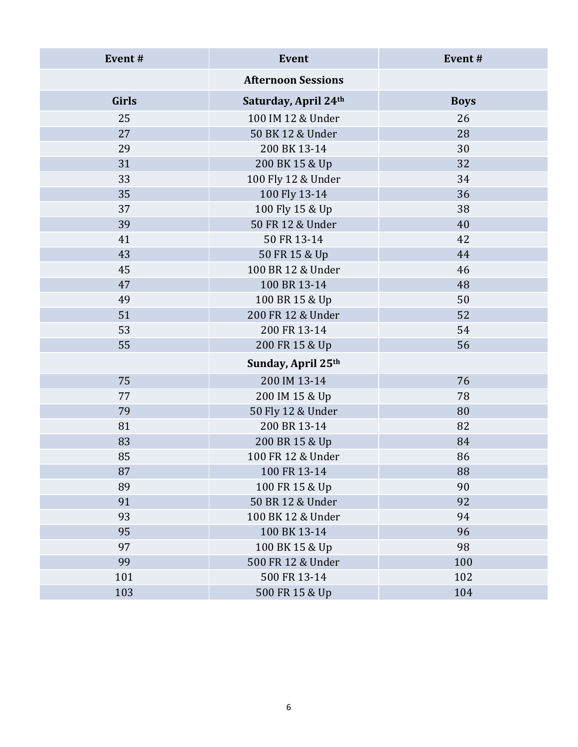| Event#       | Event                     | Event#      |  |  |  |
|--------------|---------------------------|-------------|--|--|--|
|              | <b>Afternoon Sessions</b> |             |  |  |  |
| <b>Girls</b> | Saturday, April 24th      | <b>Boys</b> |  |  |  |
| 25           | 100 IM 12 & Under         | 26          |  |  |  |
| 27           | 50 BK 12 & Under          | 28          |  |  |  |
| 29           | 200 BK 13-14              | 30          |  |  |  |
| 31           | 200 BK 15 & Up            | 32          |  |  |  |
| 33           | 100 Fly 12 & Under        | 34          |  |  |  |
| 35           | 100 Fly 13-14             | 36          |  |  |  |
| 37           | 100 Fly 15 & Up           | 38          |  |  |  |
| 39           | 50 FR 12 & Under          | 40          |  |  |  |
| 41           | 50 FR 13-14               | 42          |  |  |  |
| 43           | 50 FR 15 & Up             | 44          |  |  |  |
| 45           | 100 BR 12 & Under         | 46          |  |  |  |
| 47           | 100 BR 13-14              | 48          |  |  |  |
| 49           | 100 BR 15 & Up            | 50          |  |  |  |
| 51           | 200 FR 12 & Under         | 52          |  |  |  |
| 53           | 200 FR 13-14              | 54          |  |  |  |
| 55           | 200 FR 15 & Up            | 56          |  |  |  |
|              | Sunday, April 25th        |             |  |  |  |
| 75           | 200 IM 13-14              | 76          |  |  |  |
| 77           | 200 IM 15 & Up            | 78          |  |  |  |
| 79           | 50 Fly 12 & Under         | 80          |  |  |  |
| 81           | 200 BR 13-14              | 82          |  |  |  |
| 83           | 200 BR 15 & Up            | 84          |  |  |  |
| 85           | 100 FR 12 & Under         | 86          |  |  |  |
| 87           | 100 FR 13-14              | 88          |  |  |  |
| 89           | 100 FR 15 & Up            | 90          |  |  |  |
| 91           | 50 BR 12 & Under          | 92          |  |  |  |
| 93           | 100 BK 12 & Under         | 94          |  |  |  |
| 95           | 100 BK 13-14              | 96          |  |  |  |
| 97           | 100 BK 15 & Up            | 98          |  |  |  |
| 99           | 500 FR 12 & Under         | 100         |  |  |  |
| 101          | 500 FR 13-14              | 102         |  |  |  |
| 103          | 500 FR 15 & Up            | 104         |  |  |  |